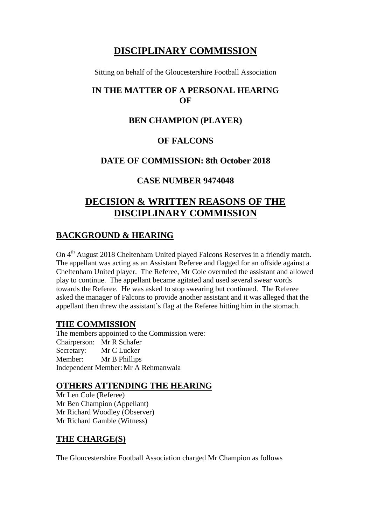# **DISCIPLINARY COMMISSION**

Sitting on behalf of the Gloucestershire Football Association

#### **IN THE MATTER OF A PERSONAL HEARING OF**

### **BEN CHAMPION (PLAYER)**

#### **OF FALCONS**

#### **DATE OF COMMISSION: 8th October 2018**

#### **CASE NUMBER 9474048**

# **DECISION & WRITTEN REASONS OF THE DISCIPLINARY COMMISSION**

## **BACKGROUND & HEARING**

On 4<sup>th</sup> August 2018 Cheltenham United played Falcons Reserves in a friendly match. The appellant was acting as an Assistant Referee and flagged for an offside against a Cheltenham United player. The Referee, Mr Cole overruled the assistant and allowed play to continue. The appellant became agitated and used several swear words towards the Referee. He was asked to stop swearing but continued. The Referee asked the manager of Falcons to provide another assistant and it was alleged that the appellant then threw the assistant's flag at the Referee hitting him in the stomach.

## **THE COMMISSION**

The members appointed to the Commission were: Chairperson: Mr R Schafer Secretary: Mr C Lucker Member: Mr B Phillips Independent Member: Mr A Rehmanwala

#### **OTHERS ATTENDING THE HEARING**

Mr Len Cole (Referee) Mr Ben Champion (Appellant) Mr Richard Woodley (Observer) Mr Richard Gamble (Witness)

#### **THE CHARGE(S)**

The Gloucestershire Football Association charged Mr Champion as follows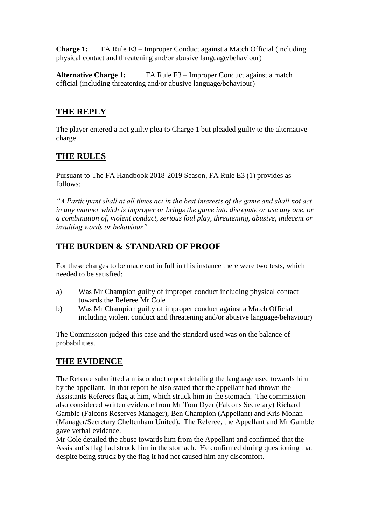**Charge 1:** FA Rule E3 – Improper Conduct against a Match Official (including physical contact and threatening and/or abusive language/behaviour)

**Alternative Charge 1:** FA Rule E3 – Improper Conduct against a match official (including threatening and/or abusive language/behaviour)

## **THE REPLY**

The player entered a not guilty plea to Charge 1 but pleaded guilty to the alternative charge

## **THE RULES**

Pursuant to The FA Handbook 2018-2019 Season, FA Rule E3 (1) provides as follows:

*"A Participant shall at all times act in the best interests of the game and shall not act in any manner which is improper or brings the game into disrepute or use any one, or a combination of, violent conduct, serious foul play, threatening, abusive, indecent or insulting words or behaviour".*

## **THE BURDEN & STANDARD OF PROOF**

For these charges to be made out in full in this instance there were two tests, which needed to be satisfied:

- a) Was Mr Champion guilty of improper conduct including physical contact towards the Referee Mr Cole
- b) Was Mr Champion guilty of improper conduct against a Match Official including violent conduct and threatening and/or abusive language/behaviour)

The Commission judged this case and the standard used was on the balance of probabilities.

## **THE EVIDENCE**

The Referee submitted a misconduct report detailing the language used towards him by the appellant. In that report he also stated that the appellant had thrown the Assistants Referees flag at him, which struck him in the stomach. The commission also considered written evidence from Mr Tom Dyer (Falcons Secretary) Richard Gamble (Falcons Reserves Manager), Ben Champion (Appellant) and Kris Mohan (Manager/Secretary Cheltenham United). The Referee, the Appellant and Mr Gamble gave verbal evidence.

Mr Cole detailed the abuse towards him from the Appellant and confirmed that the Assistant's flag had struck him in the stomach. He confirmed during questioning that despite being struck by the flag it had not caused him any discomfort.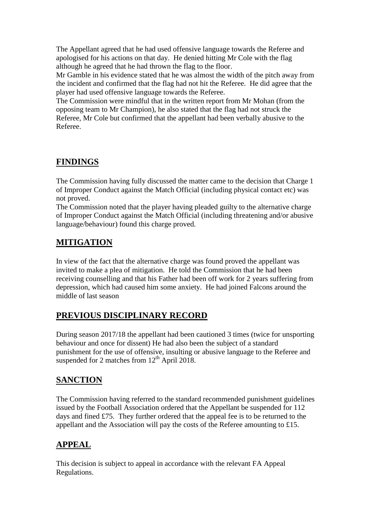The Appellant agreed that he had used offensive language towards the Referee and apologised for his actions on that day. He denied hitting Mr Cole with the flag although he agreed that he had thrown the flag to the floor.

Mr Gamble in his evidence stated that he was almost the width of the pitch away from the incident and confirmed that the flag had not hit the Referee. He did agree that the player had used offensive language towards the Referee.

The Commission were mindful that in the written report from Mr Mohan (from the opposing team to Mr Champion), he also stated that the flag had not struck the Referee, Mr Cole but confirmed that the appellant had been verbally abusive to the Referee.

## **FINDINGS**

The Commission having fully discussed the matter came to the decision that Charge 1 of Improper Conduct against the Match Official (including physical contact etc) was not proved.

The Commission noted that the player having pleaded guilty to the alternative charge of Improper Conduct against the Match Official (including threatening and/or abusive language/behaviour) found this charge proved.

## **MITIGATION**

In view of the fact that the alternative charge was found proved the appellant was invited to make a plea of mitigation. He told the Commission that he had been receiving counselling and that his Father had been off work for 2 years suffering from depression, which had caused him some anxiety. He had joined Falcons around the middle of last season

## **PREVIOUS DISCIPLINARY RECORD**

During season 2017/18 the appellant had been cautioned 3 times (twice for unsporting behaviour and once for dissent) He had also been the subject of a standard punishment for the use of offensive, insulting or abusive language to the Referee and suspended for 2 matches from  $12<sup>th</sup>$  April 2018.

## **SANCTION**

The Commission having referred to the standard recommended punishment guidelines issued by the Football Association ordered that the Appellant be suspended for 112 days and fined £75. They further ordered that the appeal fee is to be returned to the appellant and the Association will pay the costs of the Referee amounting to £15.

## **APPEAL**

This decision is subject to appeal in accordance with the relevant FA Appeal Regulations.